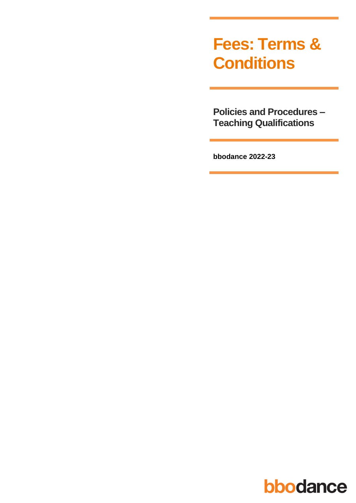# **Fees: Terms & Conditions**

**Policies and Procedures -Teaching Qualifications** 

bbodance 2022-23

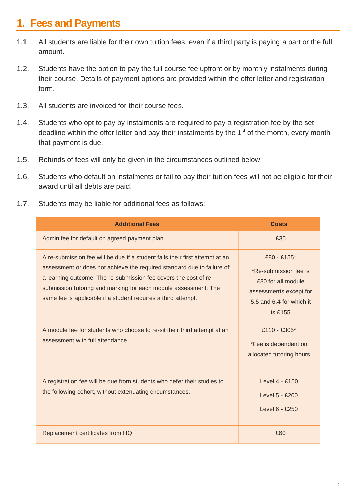### **1. Fees and Payments**

- 1.1. All students are liable for their own tuition fees, even if a third party is paying a part or the full amount.
- 1.2. Students have the option to pay the full course fee upfront or by monthly instalments during their course. Details of payment options are provided within the offer letter and registration form.
- 1.3. All students are invoiced for their course fees.
- 1.4. Students who opt to pay by instalments are required to pay a registration fee by the set deadline within the offer letter and pay their instalments by the 1<sup>st</sup> of the month, every month that payment is due.
- 1.5. Refunds of fees will only be given in the circumstances outlined below.
- 1.6. Students who default on instalments or fail to pay their tuition fees will not be eligible for their award until all debts are paid.
- 1.7. Students may be liable for additional fees as follows:

| <b>Additional Fees</b>                                                                                                                                                                                                                                                                                                                                         | <b>Costs</b>                                                                                                                |
|----------------------------------------------------------------------------------------------------------------------------------------------------------------------------------------------------------------------------------------------------------------------------------------------------------------------------------------------------------------|-----------------------------------------------------------------------------------------------------------------------------|
| Admin fee for default on agreed payment plan.                                                                                                                                                                                                                                                                                                                  | £35                                                                                                                         |
| A re-submission fee will be due if a student fails their first attempt at an<br>assessment or does not achieve the required standard due to failure of<br>a learning outcome. The re-submission fee covers the cost of re-<br>submission tutoring and marking for each module assessment. The<br>same fee is applicable if a student requires a third attempt. | £80 - £155*<br>*Re-submission fee is<br>£80 for all module<br>assessments except for<br>5.5 and 6.4 for which it<br>is £155 |
| A module fee for students who choose to re-sit their third attempt at an<br>assessment with full attendance.                                                                                                                                                                                                                                                   | £110 - £305*<br>*Fee is dependent on<br>allocated tutoring hours                                                            |
| A registration fee will be due from students who defer their studies to<br>the following cohort, without extenuating circumstances.                                                                                                                                                                                                                            | Level 4 - £150<br>Level 5 - £200<br>Level 6 - £250                                                                          |
| Replacement certificates from HQ                                                                                                                                                                                                                                                                                                                               | £60                                                                                                                         |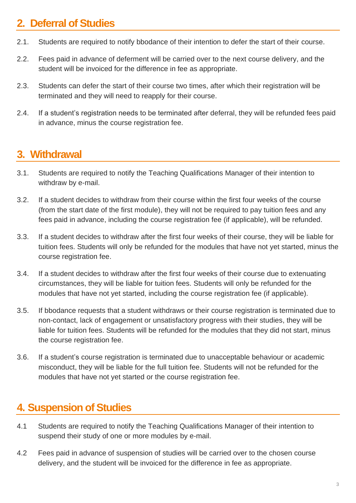### **2. Deferral of Studies**

- 2.1. Students are required to notify bbodance of their intention to defer the start of their course.
- 2.2. Fees paid in advance of deferment will be carried over to the next course delivery, and the student will be invoiced for the difference in fee as appropriate.
- 2.3. Students can defer the start of their course two times, after which their registration will be terminated and they will need to reapply for their course.
- 2.4. If a student's registration needs to be terminated after deferral, they will be refunded fees paid in advance, minus the course registration fee.

### **3. Withdrawal**

- 3.1. Students are required to notify the Teaching Qualifications Manager of their intention to withdraw by e-mail.
- 3.2. If a student decides to withdraw from their course within the first four weeks of the course (from the start date of the first module), they will not be required to pay tuition fees and any fees paid in advance, including the course registration fee (if applicable), will be refunded.
- 3.3. If a student decides to withdraw after the first four weeks of their course, they will be liable for tuition fees. Students will only be refunded for the modules that have not yet started, minus the course registration fee.
- 3.4. If a student decides to withdraw after the first four weeks of their course due to extenuating circumstances, they will be liable for tuition fees. Students will only be refunded for the modules that have not yet started, including the course registration fee (if applicable).
- 3.5. If bbodance requests that a student withdraws or their course registration is terminated due to non-contact, lack of engagement or unsatisfactory progress with their studies, they will be liable for tuition fees. Students will be refunded for the modules that they did not start, minus the course registration fee.
- 3.6. If a student's course registration is terminated due to unacceptable behaviour or academic misconduct, they will be liable for the full tuition fee. Students will not be refunded for the modules that have not yet started or the course registration fee.

## **4. Suspension of Studies**

- 4.1 Students are required to notify the Teaching Qualifications Manager of their intention to suspend their study of one or more modules by e-mail.
- 4.2 Fees paid in advance of suspension of studies will be carried over to the chosen course delivery, and the student will be invoiced for the difference in fee as appropriate.